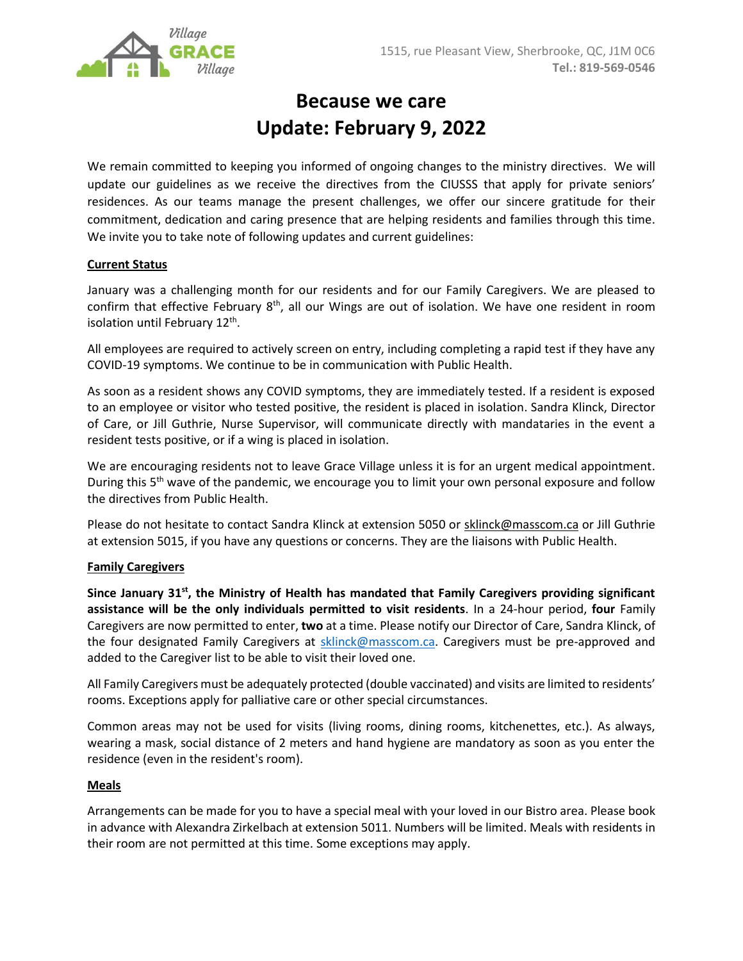

# **Because we care Update: February 9, 2022**

We remain committed to keeping you informed of ongoing changes to the ministry directives. We will update our guidelines as we receive the directives from the CIUSSS that apply for private seniors' residences. As our teams manage the present challenges, we offer our sincere gratitude for their commitment, dedication and caring presence that are helping residents and families through this time. We invite you to take note of following updates and current guidelines:

# **Current Status**

January was a challenging month for our residents and for our Family Caregivers. We are pleased to confirm that effective February 8<sup>th</sup>, all our Wings are out of isolation. We have one resident in room isolation until February 12<sup>th</sup>.

All employees are required to actively screen on entry, including completing a rapid test if they have any COVID-19 symptoms. We continue to be in communication with Public Health.

As soon as a resident shows any COVID symptoms, they are immediately tested. If a resident is exposed to an employee or visitor who tested positive, the resident is placed in isolation. Sandra Klinck, Director of Care, or Jill Guthrie, Nurse Supervisor, will communicate directly with mandataries in the event a resident tests positive, or if a wing is placed in isolation.

We are encouraging residents not to leave Grace Village unless it is for an urgent medical appointment. During this  $5<sup>th</sup>$  wave of the pandemic, we encourage you to limit your own personal exposure and follow the directives from Public Health.

Please do not hesitate to contact Sandra Klinck at extension 5050 or [sklinck@masscom.ca](mailto:sklinck@masscom.ca) or Jill Guthrie at extension 5015, if you have any questions or concerns. They are the liaisons with Public Health.

## **Family Caregivers**

**Since January 31st, the Ministry of Health has mandated that Family Caregivers providing significant assistance will be the only individuals permitted to visit residents**. In a 24-hour period, **four** Family Caregivers are now permitted to enter, **two** at a time. Please notify our Director of Care, Sandra Klinck, of the four designated Family Caregivers at [sklinck@masscom.ca.](mailto:sklinck@masscom.ca) Caregivers must be pre-approved and added to the Caregiver list to be able to visit their loved one.

All Family Caregivers must be adequately protected (double vaccinated) and visits are limited to residents' rooms. Exceptions apply for palliative care or other special circumstances.

Common areas may not be used for visits (living rooms, dining rooms, kitchenettes, etc.). As always, wearing a mask, social distance of 2 meters and hand hygiene are mandatory as soon as you enter the residence (even in the resident's room).

## **Meals**

Arrangements can be made for you to have a special meal with your loved in our Bistro area. Please book in advance with Alexandra Zirkelbach at extension 5011. Numbers will be limited. Meals with residents in their room are not permitted at this time. Some exceptions may apply.